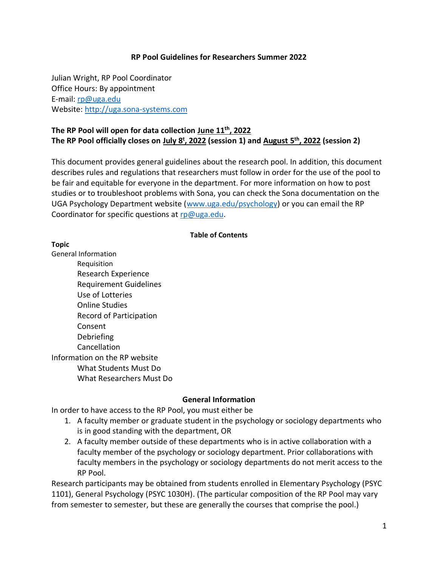#### **RP Pool Guidelines for Researchers Summer 2022**

Julian Wright, RP Pool Coordinator Office Hours: By appointment E-mail: [rp@uga.edu](mailto:rp@uga.edu) Website: [http://uga.sona-systems.com](http://uga.sona-systems.com/)

## **The RP Pool will open for data collection June 11th, 2022 The RP Pool officially closes on July 8<sup>t</sup> , 2022 (session 1) and August 5 th, 2022 (session 2)**

This document provides general guidelines about the research pool. In addition, this document describes rules and regulations that researchers must follow in order for the use of the pool to be fair and equitable for everyone in the department. For more information on how to post studies or to troubleshoot problems with Sona, you can check the Sona documentation on the UGA Psychology Department website (www.uga.edu/psychology) or you can email the RP Coordinator for specific questions at [rp@uga.edu.](mailto:rp@uga.edu)

#### **Table of Contents**

**Topic**

General Information Requisition Research Experience Requirement Guidelines Use of Lotteries Online Studies Record of Participation Consent Debriefing Cancellation Information on the RP website What Students Must Do What Researchers Must Do

#### **General Information**

In order to have access to the RP Pool, you must either be

- 1. A faculty member or graduate student in the psychology or sociology departments who is in good standing with the department, OR
- 2. A faculty member outside of these departments who is in active collaboration with a faculty member of the psychology or sociology department. Prior collaborations with faculty members in the psychology or sociology departments do not merit access to the RP Pool.

Research participants may be obtained from students enrolled in Elementary Psychology (PSYC 1101), General Psychology (PSYC 1030H). (The particular composition of the RP Pool may vary from semester to semester, but these are generally the courses that comprise the pool.)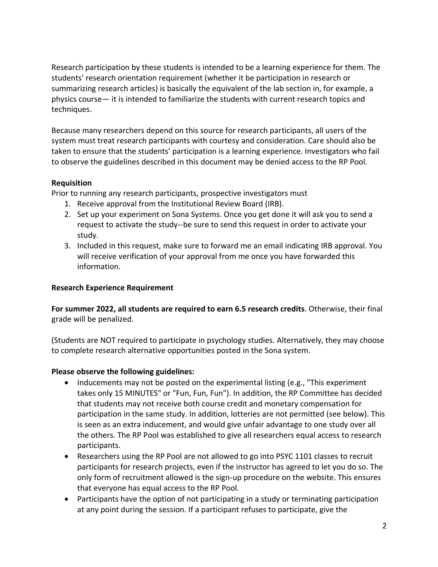Research participation by these students is intended to be a learning experience for them. The students' research orientation requirement (whether it be participation in research or summarizing research articles) is basically the equivalent of the lab section in, for example, a physics course— it is intended to familiarize the students with current research topics and techniques.

Because many researchers depend on this source for research participants, all users of the system must treat research participants with courtesy and consideration. Care should also be taken to ensure that the students' participation is a learning experience. Investigators who fail to observe the guidelines described in this document may be denied access to the RP Pool.

## **Requisition**

Prior to running any research participants, prospective investigators must

- 1. Receive approval from the Institutional Review Board (IRB).
- 2. Set up your experiment on Sona Systems. Once you get done it will ask you to send a request to activate the study--be sure to send this request in order to activate your study.
- 3. Included in this request, make sure to forward me an email indicating IRB approval. You will receive verification of your approval from me once you have forwarded this information.

# **Research Experience Requirement**

**For summer 2022, all students are required to earn 6.5 research credits**. Otherwise, their final grade will be penalized.

(Students are NOT required to participate in psychology studies. Alternatively, they may choose to complete research alternative opportunities posted in the Sona system.

# **Please observe the following guidelines:**

- Inducements may not be posted on the experimental listing (e.g., "This experiment takes only 15 MINUTES" or "Fun, Fun, Fun"). In addition, the RP Committee has decided that students may not receive both course credit and monetary compensation for participation in the same study. In addition, lotteries are not permitted (see below). This is seen as an extra inducement, and would give unfair advantage to one study over all the others. The RP Pool was established to give all researchers equal access to research participants.
- Researchers using the RP Pool are not allowed to go into PSYC 1101 classes to recruit participants for research projects, even if the instructor has agreed to let you do so. The only form of recruitment allowed is the sign-up procedure on the website. This ensures that everyone has equal access to the RP Pool.
- Participants have the option of not participating in a study or terminating participation at any point during the session. If a participant refuses to participate, give the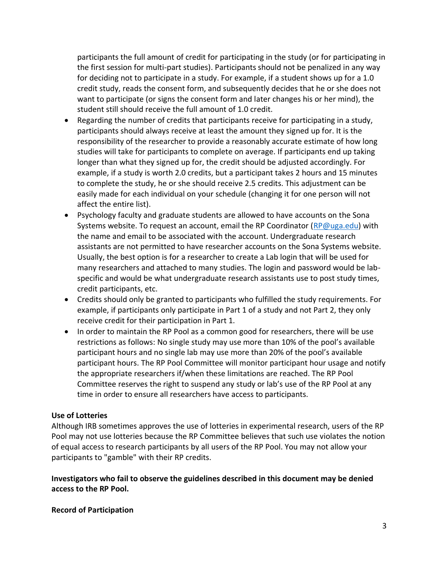participants the full amount of credit for participating in the study (or for participating in the first session for multi-part studies). Participants should not be penalized in any way for deciding not to participate in a study. For example, if a student shows up for a 1.0 credit study, reads the consent form, and subsequently decides that he or she does not want to participate (or signs the consent form and later changes his or her mind), the student still should receive the full amount of 1.0 credit.

- Regarding the number of credits that participants receive for participating in a study, participants should always receive at least the amount they signed up for. It is the responsibility of the researcher to provide a reasonably accurate estimate of how long studies will take for participants to complete on average. If participants end up taking longer than what they signed up for, the credit should be adjusted accordingly. For example, if a study is worth 2.0 credits, but a participant takes 2 hours and 15 minutes to complete the study, he or she should receive 2.5 credits. This adjustment can be easily made for each individual on your schedule (changing it for one person will not affect the entire list).
- Psychology faculty and graduate students are allowed to have accounts on the Sona Systems website. To request an account, email the RP Coordinator [\(RP@uga.edu\)](mailto:RP@uga.edu) with the name and email to be associated with the account. Undergraduate research assistants are not permitted to have researcher accounts on the Sona Systems website. Usually, the best option is for a researcher to create a Lab login that will be used for many researchers and attached to many studies. The login and password would be labspecific and would be what undergraduate research assistants use to post study times, credit participants, etc.
- Credits should only be granted to participants who fulfilled the study requirements. For example, if participants only participate in Part 1 of a study and not Part 2, they only receive credit for their participation in Part 1.
- In order to maintain the RP Pool as a common good for researchers, there will be use restrictions as follows: No single study may use more than 10% of the pool's available participant hours and no single lab may use more than 20% of the pool's available participant hours. The RP Pool Committee will monitor participant hour usage and notify the appropriate researchers if/when these limitations are reached. The RP Pool Committee reserves the right to suspend any study or lab's use of the RP Pool at any time in order to ensure all researchers have access to participants.

## **Use of Lotteries**

Although IRB sometimes approves the use of lotteries in experimental research, users of the RP Pool may not use lotteries because the RP Committee believes that such use violates the notion of equal access to research participants by all users of the RP Pool. You may not allow your participants to "gamble" with their RP credits.

**Investigators who fail to observe the guidelines described in this document may be denied access to the RP Pool.**

#### **Record of Participation**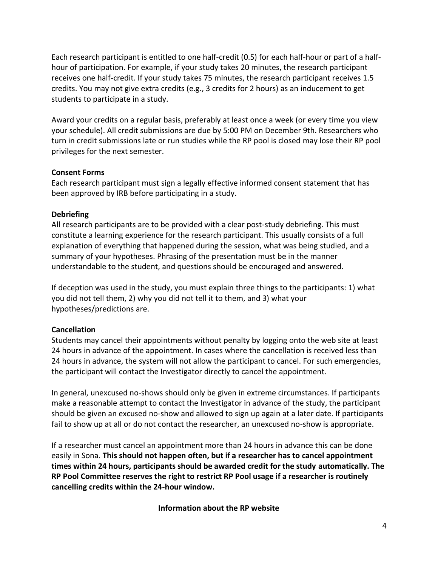Each research participant is entitled to one half-credit (0.5) for each half-hour or part of a halfhour of participation. For example, if your study takes 20 minutes, the research participant receives one half-credit. If your study takes 75 minutes, the research participant receives 1.5 credits. You may not give extra credits (e.g., 3 credits for 2 hours) as an inducement to get students to participate in a study.

Award your credits on a regular basis, preferably at least once a week (or every time you view your schedule). All credit submissions are due by 5:00 PM on December 9th. Researchers who turn in credit submissions late or run studies while the RP pool is closed may lose their RP pool privileges for the next semester.

## **Consent Forms**

Each research participant must sign a legally effective informed consent statement that has been approved by IRB before participating in a study.

## **Debriefing**

All research participants are to be provided with a clear post-study debriefing. This must constitute a learning experience for the research participant. This usually consists of a full explanation of everything that happened during the session, what was being studied, and a summary of your hypotheses. Phrasing of the presentation must be in the manner understandable to the student, and questions should be encouraged and answered.

If deception was used in the study, you must explain three things to the participants: 1) what you did not tell them, 2) why you did not tell it to them, and 3) what your hypotheses/predictions are.

## **Cancellation**

Students may cancel their appointments without penalty by logging onto the web site at least 24 hours in advance of the appointment. In cases where the cancellation is received less than 24 hours in advance, the system will not allow the participant to cancel. For such emergencies, the participant will contact the Investigator directly to cancel the appointment.

In general, unexcused no-shows should only be given in extreme circumstances. If participants make a reasonable attempt to contact the Investigator in advance of the study, the participant should be given an excused no-show and allowed to sign up again at a later date. If participants fail to show up at all or do not contact the researcher, an unexcused no-show is appropriate.

If a researcher must cancel an appointment more than 24 hours in advance this can be done easily in Sona. **This should not happen often, but if a researcher has to cancel appointment times within 24 hours, participants should be awarded credit for the study automatically. The RP Pool Committee reserves the right to restrict RP Pool usage if a researcher is routinely cancelling credits within the 24-hour window.**

**Information about the RP website**